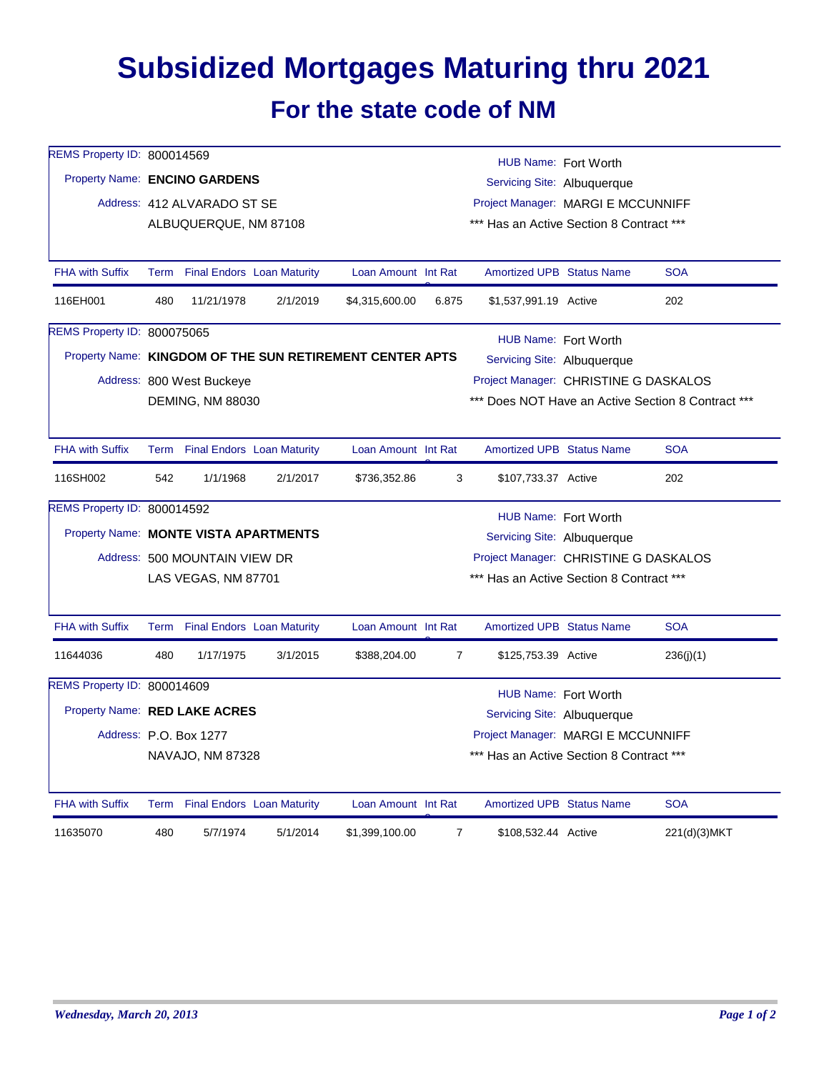## **Subsidized Mortgages Maturing thru 2021**

## **For the state code of NM**

| REMS Property ID: 800014569           | HUB Name: Fort Worth |                                 |          |                                                          |                                          |                                                    |  |              |  |  |
|---------------------------------------|----------------------|---------------------------------|----------|----------------------------------------------------------|------------------------------------------|----------------------------------------------------|--|--------------|--|--|
| Property Name: ENCINO GARDENS         |                      |                                 |          | Servicing Site: Albuquerque                              |                                          |                                                    |  |              |  |  |
|                                       |                      | Address: 412 ALVARADO ST SE     |          | Project Manager: MARGI E MCCUNNIFF                       |                                          |                                                    |  |              |  |  |
|                                       |                      | ALBUQUERQUE, NM 87108           |          |                                                          | *** Has an Active Section 8 Contract *** |                                                    |  |              |  |  |
| <b>FHA with Suffix</b>                |                      | Term Final Endors Loan Maturity |          | Loan Amount Int Rat                                      |                                          | <b>Amortized UPB Status Name</b>                   |  | <b>SOA</b>   |  |  |
| 116EH001                              | 480                  | 11/21/1978                      | 2/1/2019 | \$4,315,600.00                                           | 6.875                                    | \$1,537,991.19 Active                              |  | 202          |  |  |
| REMS Property ID: 800075065           |                      |                                 |          |                                                          |                                          | HUB Name: Fort Worth                               |  |              |  |  |
|                                       |                      |                                 |          | Property Name: KINGDOM OF THE SUN RETIREMENT CENTER APTS |                                          | Servicing Site: Albuquerque                        |  |              |  |  |
|                                       |                      | Address: 800 West Buckeye       |          |                                                          |                                          | Project Manager: CHRISTINE G DASKALOS              |  |              |  |  |
|                                       |                      | DEMING, NM 88030                |          |                                                          |                                          | *** Does NOT Have an Active Section 8 Contract *** |  |              |  |  |
|                                       |                      |                                 |          |                                                          |                                          |                                                    |  |              |  |  |
| <b>FHA with Suffix</b>                |                      | Term Final Endors Loan Maturity |          | Loan Amount Int Rat                                      |                                          | <b>Amortized UPB Status Name</b>                   |  | <b>SOA</b>   |  |  |
| 116SH002                              | 542                  | 1/1/1968                        | 2/1/2017 | \$736,352.86                                             | 3                                        | \$107,733.37 Active                                |  | 202          |  |  |
| REMS Property ID: 800014592           | HUB Name: Fort Worth |                                 |          |                                                          |                                          |                                                    |  |              |  |  |
| Property Name: MONTE VISTA APARTMENTS |                      |                                 |          |                                                          | Servicing Site: Albuquerque              |                                                    |  |              |  |  |
|                                       |                      | Address: 500 MOUNTAIN VIEW DR   |          | Project Manager: CHRISTINE G DASKALOS                    |                                          |                                                    |  |              |  |  |
|                                       |                      | LAS VEGAS, NM 87701             |          |                                                          |                                          | *** Has an Active Section 8 Contract ***           |  |              |  |  |
| <b>FHA with Suffix</b>                |                      | Term Final Endors Loan Maturity |          | Loan Amount Int Rat                                      |                                          | <b>Amortized UPB Status Name</b>                   |  | <b>SOA</b>   |  |  |
| 11644036                              | 480                  | 1/17/1975                       | 3/1/2015 | \$388,204.00                                             | $\overline{7}$                           | \$125,753.39 Active                                |  | 236(j)(1)    |  |  |
| REMS Property ID: 800014609           |                      |                                 |          |                                                          |                                          | HUB Name: Fort Worth                               |  |              |  |  |
| Property Name: RED LAKE ACRES         |                      |                                 |          | Servicing Site: Albuquerque                              |                                          |                                                    |  |              |  |  |
|                                       |                      | Address: P.O. Box 1277          |          |                                                          | Project Manager: MARGI E MCCUNNIFF       |                                                    |  |              |  |  |
|                                       |                      | NAVAJO, NM 87328                |          | *** Has an Active Section 8 Contract ***                 |                                          |                                                    |  |              |  |  |
| <b>FHA with Suffix</b>                |                      | Term Final Endors Loan Maturity |          | Loan Amount Int Rat                                      |                                          | <b>Amortized UPB Status Name</b>                   |  | <b>SOA</b>   |  |  |
| 11635070                              | 480                  | 5/7/1974                        | 5/1/2014 | \$1,399,100.00                                           | $\overline{7}$                           | \$108,532.44 Active                                |  | 221(d)(3)MKT |  |  |